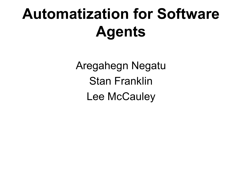# **Automatization for Software Agents**

Aregahegn Negatu Stan Franklin Lee McCauley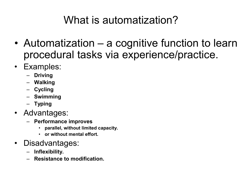## What is automatization?

- Automatization a cognitive function to learn procedural tasks via experience/practice.
- Examples:
	- **Driving**
	- **Walking**
	- **Cycling**
	- **Swimming**
	- **Typing**
- Advantages:
	- **Performance improves**
		- **parallel, without limited capacity.**
		- **or without mental effort.**
- Disadvantages:
	- **Inflexibility.**
	- **Resistance to modification.**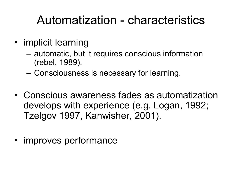# Automatization - characteristics

- implicit learning
	- automatic, but it requires conscious information (rebel, 1989).
	- Consciousness is necessary for learning.
- Conscious awareness fades as automatization develops with experience (e.g. Logan, 1992; Tzelgov 1997, Kanwisher, 2001).
- improves performance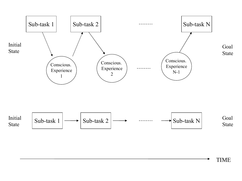

TIME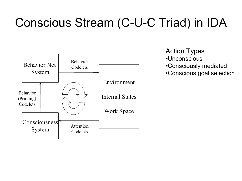# Conscious Stream (C-U-C Triad) in IDA



Action Types

- •Unconscious
- •Consciously mediated
- •Conscious goal selection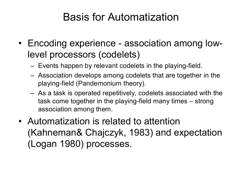#### Basis for Automatization

- Encoding experience association among lowlevel processors (codelets)
	- $-$  Events happen by relevant codelets in the playing-field.
	- Association develops among codelets that are together in the playing-field (Pandemonium theory).
	- As a task is operated repetitively, codelets associated with the task come together in the playing-field many times – strong association among them.
- Automatization is related to attention (Kahneman& Chajczyk, 1983) and expectation (Logan 1980) processes.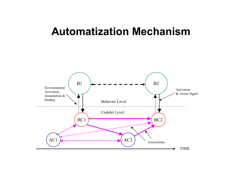#### **Automatization Mechanism**

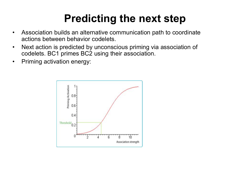# **Predicting the next step**

- Association builds an alternative communication path to coordinate actions between behavior codelets.
- Next action is predicted by unconscious priming via association of codelets. BC1 primes BC2 using their association.
- Priming activation energy:

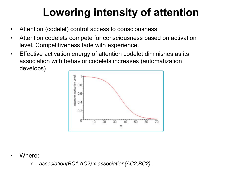# **Lowering intensity of attention**

- Attention (codelet) control access to consciousness.
- Attention codelets compete for consciousness based on activation level. Competitiveness fade with experience.
- Effective activation energy of attention codelet diminishes as its association with behavior codelets increases (automatization develops).



Where:

– *x = association(BC1,AC2)* x *association(AC2,BC2)* ,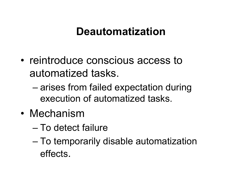### **Deautomatization**

- reintroduce conscious access to automatized tasks.
	- arises from failed expectation during execution of automatized tasks.
- Mechanism
	- To detect failure
	- To temporarily disable automatization effects.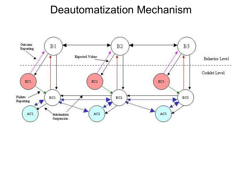#### Deautomatization Mechanism

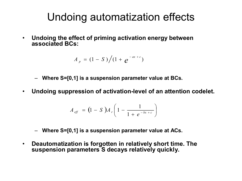#### Undoing automatization effects

• **Undoing the effect of priming activation energy between associated BCs:**

$$
A_p = (1 - S) / (1 + e^{-ax + c})
$$

- **Where S=[0,1] is a suspension parameter value at BCs.**
- Undoing suppression of activation-level of an attention codelet.

$$
A_{\text{eff}} = (1 - S) A_r \left( 1 - \frac{1}{1 + e^{-bx + c}} \right)
$$

- **Where S=[0,1] is a suspension parameter value at ACs.**
- **Deautomatization is forgotten in relatively short time. The suspension parameters S decays relatively quickly.**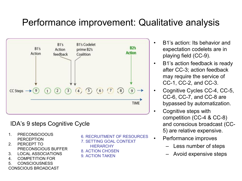#### Performance improvement: Qualitative analysis



#### IDA's 9 steps Cognitive Cycle

- 1. PRECONSCIOOUS PERCEPTION
- 2. PERCEPT TO PRECONSCIOUS BUFFER
- 3. LOCAL ASSOCIATIONS
- 4. COMPETITION FOR
- 5. CONSCIOUSNESS

CONSCIOUS BROADCAST

6. RECRUITMENT OF RESOURCES 7. SETTING GOAL CONTEXT

- **HIERARCHY**
- 8. ACTION CHOSEN
- 9. ACTION TAKEN
- B1's action: Its behavior and expectation codelets are in playing field (CC-9).
- B1's action feedback is ready after CC-3; action feedback may require the service of CC-1, CC-2, and CC-3.
- Cognitive Cycles CC-4, CC-5,  $CC-6$ ,  $CC-7$ , and  $CC-8$  are bypassed by automatization.
	- Cognitive steps with competition  $(CC-4 & CC-8)$ and conscious broadcast (CC 5) are relative expensive.
	- Performance improves
		- Less number of steps
		- Avoid expensive steps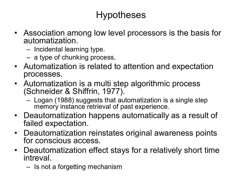#### Hypotheses

- Association among low level processors is the basis for automatization.
	- Incidental learning type.
	- a type of chunking process.
- Automatization is related to attention and expectation processes.
- Automatization is a multi step algorithmic process (Schneider & Shiffrin, 1977).
	- Logan (1988) suggests that automatization is a single step memory instance retrieval of past experience.
- Deautomatization happens automatically as a result of failed expectation.
- Deautomatization reinstates original awareness points for conscious access.
- Deautomatization effect stays for a relatively short time intreval.
	- Is not a forgetting mechanism